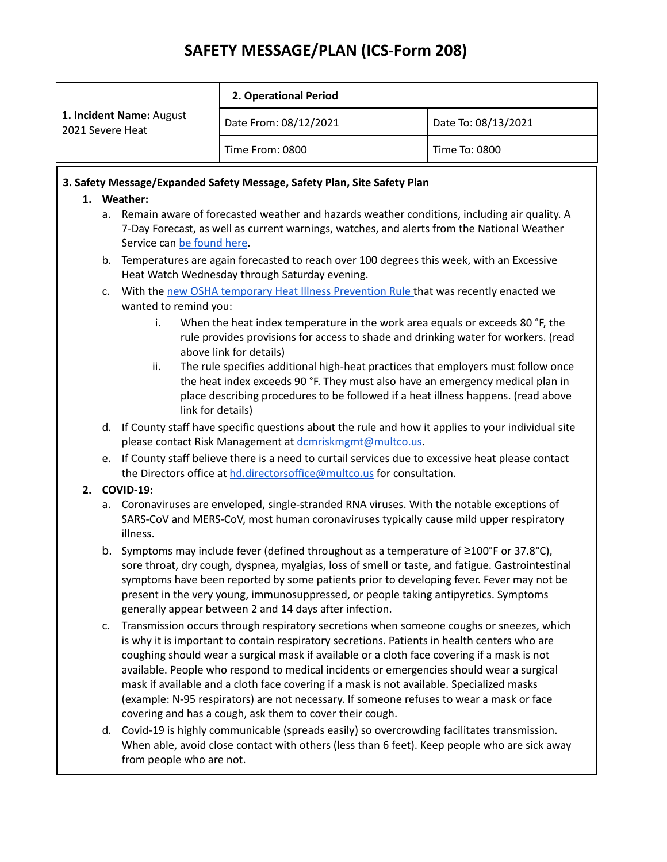# **SAFETY MESSAGE/PLAN (ICS-Form 208)**

| 1. Incident Name: August<br>2021 Severe Heat | 2. Operational Period |                     |
|----------------------------------------------|-----------------------|---------------------|
|                                              | Date From: 08/12/2021 | Date To: 08/13/2021 |
|                                              | Time From: 0800       | Time To: 0800       |

### **3. Safety Message/Expanded Safety Message, Safety Plan, Site Safety Plan**

#### **1. Weather:**

- a. Remain aware of forecasted weather and hazards weather conditions, including air quality. A 7-Day Forecast, as well as current warnings, watches, and alerts from the National Weather Service can be [found](https://forecast.weather.gov/MapClick.php?lat=45.511790000000076&lon=-122.67562999999996#.X2JSkHlKiUl) here.
- b. Temperatures are again forecasted to reach over 100 degrees this week, with an Excessive Heat Watch Wednesday through Saturday evening.
- c. With the new OSHA temporary Heat Illness [Prevention](https://osha.oregon.gov/OSHAPubs/factsheets/fs85.pdf) Rule that was recently enacted we wanted to remind you:
	- i. When the heat index temperature in the work area equals or exceeds 80 °F, the rule provides provisions for access to shade and drinking water for workers. (read above link for details)
	- ii. The rule specifies additional high-heat practices that employers must follow once the heat index exceeds 90 °F. They must also have an emergency medical plan in place describing procedures to be followed if a heat illness happens. (read above link for details)
- d. If County staff have specific questions about the rule and how it applies to your individual site please contact Risk Management at [dcmriskmgmt@multco.us](mailto:dcmriskmgmt@multco.us).
- e. If County staff believe there is a need to curtail services due to excessive heat please contact the Directors office at [hd.directorsoffice@multco.us](mailto:hd.directorsoffice@multco.us) for consultation.

## **2. COVID-19:**

- a. Coronaviruses are enveloped, single-stranded RNA viruses. With the notable exceptions of SARS-CoV and MERS-CoV, most human coronaviruses typically cause mild upper respiratory illness.
- b. Symptoms may include fever (defined throughout as a temperature of ≥100°F or 37.8°C), sore throat, dry cough, dyspnea, myalgias, loss of smell or taste, and fatigue. Gastrointestinal symptoms have been reported by some patients prior to developing fever. Fever may not be present in the very young, immunosuppressed, or people taking antipyretics. Symptoms generally appear between 2 and 14 days after infection.
- c. Transmission occurs through respiratory secretions when someone coughs or sneezes, which is why it is important to contain respiratory secretions. Patients in health centers who are coughing should wear a surgical mask if available or a cloth face covering if a mask is not available. People who respond to medical incidents or emergencies should wear a surgical mask if available and a cloth face covering if a mask is not available. Specialized masks (example: N-95 respirators) are not necessary. If someone refuses to wear a mask or face covering and has a cough, ask them to cover their cough.
- d. Covid-19 is highly communicable (spreads easily) so overcrowding facilitates transmission. When able, avoid close contact with others (less than 6 feet). Keep people who are sick away from people who are not.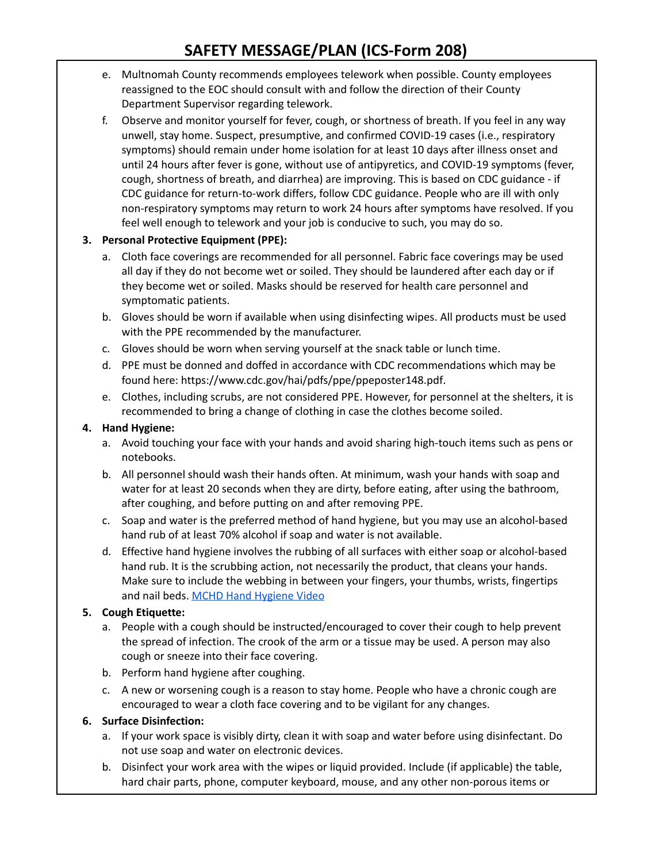# **SAFETY MESSAGE/PLAN (ICS-Form 208)**

- e. Multnomah County recommends employees telework when possible. County employees reassigned to the EOC should consult with and follow the direction of their County Department Supervisor regarding telework.
- f. Observe and monitor yourself for fever, cough, or shortness of breath. If you feel in any way unwell, stay home. Suspect, presumptive, and confirmed COVID-19 cases (i.e., respiratory symptoms) should remain under home isolation for at least 10 days after illness onset and until 24 hours after fever is gone, without use of antipyretics, and COVID-19 symptoms (fever, cough, shortness of breath, and diarrhea) are improving. This is based on CDC guidance - if CDC guidance for return-to-work differs, follow CDC guidance. People who are ill with only non-respiratory symptoms may return to work 24 hours after symptoms have resolved. If you feel well enough to telework and your job is conducive to such, you may do so.

### **3. Personal Protective Equipment (PPE):**

- a. Cloth face coverings are recommended for all personnel. Fabric face coverings may be used all day if they do not become wet or soiled. They should be laundered after each day or if they become wet or soiled. Masks should be reserved for health care personnel and symptomatic patients.
- b. Gloves should be worn if available when using disinfecting wipes. All products must be used with the PPE recommended by the manufacturer.
- c. Gloves should be worn when serving yourself at the snack table or lunch time.
- d. PPE must be donned and doffed in accordance with CDC recommendations which may be found here: [https://www.cdc.gov/hai/pdfs/ppe/ppeposter148.pdf.](https://www.cdc.gov/hai/pdfs/ppe/ppeposter148.pdf)
- e. Clothes, including scrubs, are not considered PPE. However, for personnel at the shelters, it is recommended to bring a change of clothing in case the clothes become soiled.

#### **4. Hand Hygiene:**

- a. Avoid touching your face with your hands and avoid sharing high-touch items such as pens or notebooks.
- b. All personnel should wash their hands often. At minimum, wash your hands with soap and water for at least 20 seconds when they are dirty, before eating, after using the bathroom, after coughing, and before putting on and after removing PPE.
- c. Soap and water is the preferred method of hand hygiene, but you may use an alcohol-based hand rub of at least 70% alcohol if soap and water is not available.
- d. Effective hand hygiene involves the rubbing of all surfaces with either soap or alcohol-based hand rub. It is the scrubbing action, not necessarily the product, that cleans your hands. Make sure to include the webbing in between your fingers, your thumbs, wrists, fingertips and nail beds. MCHD Hand [Hygiene](https://www.youtube.com/watch?v=GDWTY5Jvi30&feature=youtu.be) Video

## **5. Cough Etiquette:**

- a. People with a cough should be instructed/encouraged to cover their cough to help prevent the spread of infection. The crook of the arm or a tissue may be used. A person may also cough or sneeze into their face covering.
- b. Perform hand hygiene after coughing.
- c. A new or worsening cough is a reason to stay home. People who have a chronic cough are encouraged to wear a cloth face covering and to be vigilant for any changes.

## **6. Surface Disinfection:**

- a. If your work space is visibly dirty, clean it with soap and water before using disinfectant. Do not use soap and water on electronic devices.
- b. Disinfect your work area with the wipes or liquid provided. Include (if applicable) the table, hard chair parts, phone, computer keyboard, mouse, and any other non-porous items or